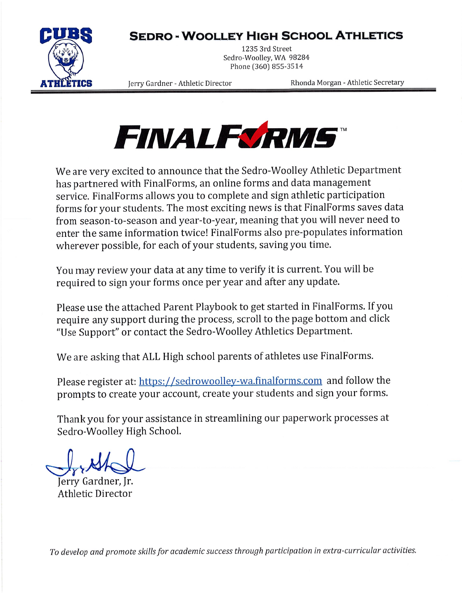# **SEDRO - WOOLLEY HIGH SCHOOL ATHLETICS**



1235 3rd Street Sedro-Woolley, WA 98284 Phone (360) 855-3514

Jerry Gardner - Athletic Director

Rhonda Morgan - Athletic Secretary



We are very excited to announce that the Sedro-Woolley Athletic Department has partnered with FinalForms, an online forms and data management service. Final Forms allows you to complete and sign athletic participation forms for your students. The most exciting news is that FinalForms saves data from season-to-season and year-to-year, meaning that you will never need to enter the same information twice! FinalForms also pre-populates information wherever possible, for each of your students, saving you time.

You may review your data at any time to verify it is current. You will be required to sign your forms once per year and after any update.

Please use the attached Parent Playbook to get started in FinalForms. If you require any support during the process, scroll to the page bottom and click "Use Support" or contact the Sedro-Woolley Athletics Department.

We are asking that ALL High school parents of athletes use FinalForms.

Please register at: https://sedrowoolley-wa.finalforms.com and follow the prompts to create your account, create your students and sign your forms.

Thank you for your assistance in streamlining our paperwork processes at Sedro-Woolley High School.

Jerry Gardner, Jr. **Athletic Director** 

To develop and promote skills for academic success through participation in extra-curricular activities.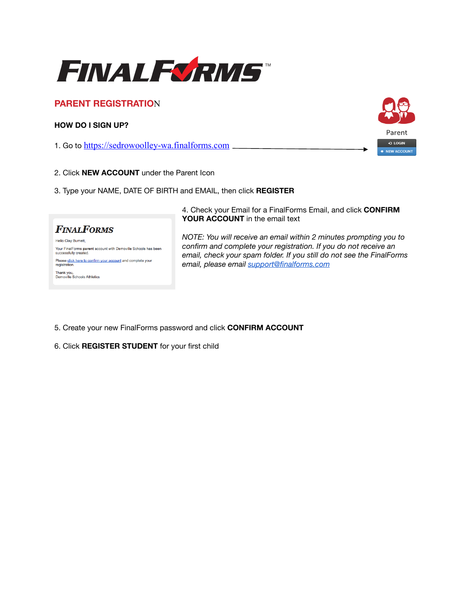

## **PARENT REGISTRATIO**N

### **HOW DO I SIGN UP?**

1. Go to <https://sedrowoolley-wa.finalforms.com>

Parent D LOGIN **NEW ACCOUNT** 

- 2. Click **NEW ACCOUNT** under the Parent Icon
- 3. Type your NAME, DATE OF BIRTH and EMAIL, then click **REGISTER**



Your FinalForms parent account with Demoville Schools has been<br>successfully created. Please click here to confirm your account and complete your registration Thank you,<br>Demoville Schools Athletics

4. Check your Email for a FinalForms Email, and click **CONFIRM YOUR ACCOUNT** in the email text

*NOTE: You will receive an email within 2 minutes prompting you to confirm and complete your registration. If you do not receive an email, check your spam folder. If you still do not see the FinalForms email, please email [support@finalforms.com](mailto:support@finalforms.com)*

- 5. Create your new FinalForms password and click **CONFIRM ACCOUNT**
- 6. Click **REGISTER STUDENT** for your first child